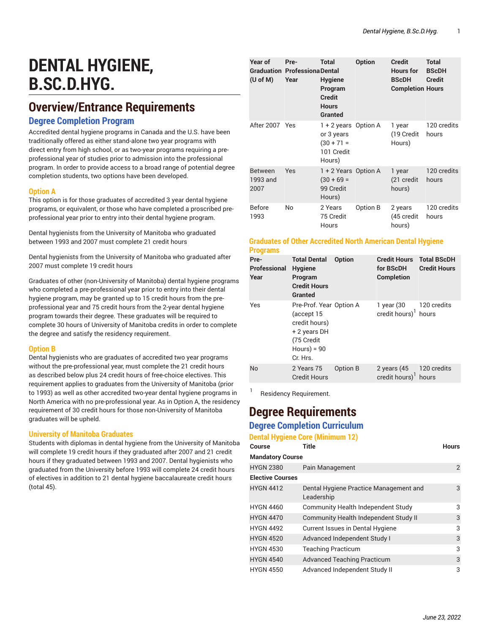# **DENTAL HYGIENE, B.SC.D.HYG.**

# **Overview/Entrance Requirements**

### **Degree Completion Program**

Accredited dental hygiene programs in Canada and the U.S. have been traditionally offered as either stand-alone two year programs with direct entry from high school, or as two-year programs requiring a preprofessional year of studies prior to admission into the professional program. In order to provide access to a broad range of potential degree completion students, two options have been developed.

#### **Option A**

This option is for those graduates of accredited 3 year dental hygiene programs, or equivalent, or those who have completed a proscribed preprofessional year prior to entry into their dental hygiene program.

Dental hygienists from the University of Manitoba who graduated between 1993 and 2007 must complete 21 credit hours

Dental hygienists from the University of Manitoba who graduated after 2007 must complete 19 credit hours

Graduates of other (non-University of Manitoba) dental hygiene programs who completed a pre-professional year prior to entry into their dental hygiene program, may be granted up to 15 credit hours from the preprofessional year and 75 credit hours from the 2-year dental hygiene program towards their degree. These graduates will be required to complete 30 hours of University of Manitoba credits in order to complete the degree and satisfy the residency requirement.

#### **Option B**

Dental hygienists who are graduates of accredited two year programs without the pre-professional year, must complete the 21 credit hours as described below plus 24 credit hours of free-choice electives. This requirement applies to graduates from the University of Manitoba (prior to 1993) as well as other accredited two-year dental hygiene programs in North America with no pre-professional year. As in Option A, the residency requirement of 30 credit hours for those non-University of Manitoba graduates will be upheld.

#### **University of Manitoba Graduates**

Students with diplomas in dental hygiene from the University of Manitoba will complete 19 credit hours if they graduated after 2007 and 21 credit hours if they graduated between 1993 and 2007. Dental hygienists who graduated from the University before 1993 will complete 24 credit hours of electives in addition to 21 dental hygiene baccalaureate credit hours (total 45).

| Year of<br>$(U \circ f M)$         | Pre-<br><b>Graduation Professiona Dental</b><br>Year | <b>Total</b><br><b>Hygiene</b><br>Program<br><b>Credit</b><br><b>Hours</b><br><b>Granted</b> | <b>Option</b> | <b>Credit</b><br><b>Hours</b> for<br><b>BScDH</b><br><b>Completion Hours</b> | <b>Total</b><br><b>BScDH</b><br><b>Credit</b> |
|------------------------------------|------------------------------------------------------|----------------------------------------------------------------------------------------------|---------------|------------------------------------------------------------------------------|-----------------------------------------------|
| After 2007 Yes                     |                                                      | 1 + 2 years Option A<br>or 3 years<br>$(30 + 71 =$<br>101 Credit<br>Hours)                   |               | 1 year<br>(19 Credit<br>Hours)                                               | 120 credits<br>hours                          |
| <b>Between</b><br>1993 and<br>2007 | <b>Yes</b>                                           | 1 + 2 Years Option A<br>$(30 + 69 =$<br>99 Credit<br>Hours)                                  |               | 1 year<br>(21 credit<br>hours)                                               | 120 credits<br>hours                          |
| <b>Before</b><br>1993              | No.                                                  | 2 Years<br>75 Credit<br>Hours                                                                | Option B      | 2 years<br>(45 credit<br>hours)                                              | 120 credits<br>hours                          |

#### **Graduates of Other Accredited North American Dental Hygiene Programs**

| Pre-<br>Professional<br>Year | <b>Total Dental</b><br><b>Hygiene</b><br>Program<br><b>Credit Hours</b><br><b>Granted</b>                        | <b>Option</b> | <b>Credit Hours</b><br>for BScDH<br><b>Completion</b> | <b>Total BScDH</b><br><b>Credit Hours</b> |
|------------------------------|------------------------------------------------------------------------------------------------------------------|---------------|-------------------------------------------------------|-------------------------------------------|
| Yes                          | Pre-Prof. Year Option A<br>(accept 15<br>credit hours)<br>+ 2 years DH<br>(75 Credit<br>$Hours$ = 90<br>Cr. Hrs. |               | 1 year (30<br>credit hours) $1$ hours                 | 120 credits                               |
| <b>No</b>                    | 2 Years 75<br><b>Credit Hours</b>                                                                                | Option B      | 2 years $(45)$<br>credit hours) <sup>1</sup>          | 120 credits<br>hours                      |
|                              |                                                                                                                  |               |                                                       |                                           |

1 Residency Requirement.

# **Degree Requirements Degree Completion Curriculum**

**Dental Hygiene Core (Minimum 12)**

| <b>Course</b>           | <b>Title</b>                                         | <b>Hours</b> |
|-------------------------|------------------------------------------------------|--------------|
| <b>Mandatory Course</b> |                                                      |              |
| <b>HYGN 2380</b>        | Pain Management                                      | 2            |
| <b>Elective Courses</b> |                                                      |              |
| <b>HYGN 4412</b>        | Dental Hygiene Practice Management and<br>Leadership | 3            |
| <b>HYGN 4460</b>        | Community Health Independent Study                   | 3            |
| <b>HYGN 4470</b>        | Community Health Independent Study II                | 3            |
| <b>HYGN 4492</b>        | Current Issues in Dental Hygiene                     | 3            |
| <b>HYGN 4520</b>        | Advanced Independent Study I                         | 3            |
| <b>HYGN 4530</b>        | <b>Teaching Practicum</b>                            | 3            |
| <b>HYGN 4540</b>        | <b>Advanced Teaching Practicum</b>                   | 3            |
| <b>HYGN 4550</b>        | Advanced Independent Study II                        | 3            |